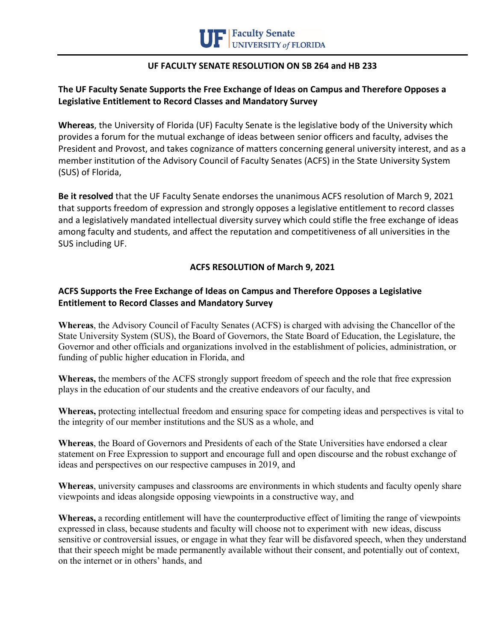

## **UF FACULTY SENATE RESOLUTION ON SB 264 and HB 233**

## **The UF Faculty Senate Supports the Free Exchange of Ideas on Campus and Therefore Opposes a Legislative Entitlement to Record Classes and Mandatory Survey**

**Whereas**, the University of Florida (UF) Faculty Senate is the legislative body of the University which provides a forum for the mutual exchange of ideas between senior officers and faculty, advises the President and Provost, and takes cognizance of matters concerning general university interest, and as a member institution of the Advisory Council of Faculty Senates (ACFS) in the State University System (SUS) of Florida,

**Be it resolved** that the UF Faculty Senate endorses the unanimous ACFS resolution of March 9, 2021 that supports freedom of expression and strongly opposes a legislative entitlement to record classes and a legislatively mandated intellectual diversity survey which could stifle the free exchange of ideas among faculty and students, and affect the reputation and competitiveness of all universities in the SUS including UF.

## **ACFS RESOLUTION of March 9, 2021**

## **ACFS Supports the Free Exchange of Ideas on Campus and Therefore Opposes a Legislative Entitlement to Record Classes and Mandatory Survey**

**Whereas**, the Advisory Council of Faculty Senates (ACFS) is charged with advising the Chancellor of the State University System (SUS), the Board of Governors, the State Board of Education, the Legislature, the Governor and other officials and organizations involved in the establishment of policies, administration, or funding of public higher education in Florida, and

**Whereas,** the members of the ACFS strongly support freedom of speech and the role that free expression plays in the education of our students and the creative endeavors of our faculty, and

**Whereas,** protecting intellectual freedom and ensuring space for competing ideas and perspectives is vital to the integrity of our member institutions and the SUS as a whole, and

**Whereas**, the Board of Governors and Presidents of each of the State Universities have endorsed a clear statement on Free Expression to support and encourage full and open discourse and the robust exchange of ideas and perspectives on our respective campuses in 2019, and

**Whereas**, university campuses and classrooms are environments in which students and faculty openly share viewpoints and ideas alongside opposing viewpoints in a constructive way, and

**Whereas,** a recording entitlement will have the counterproductive effect of limiting the range of viewpoints expressed in class, because students and faculty will choose not to experiment with new ideas, discuss sensitive or controversial issues, or engage in what they fear will be disfavored speech, when they understand that their speech might be made permanently available without their consent, and potentially out of context, on the internet or in others' hands, and